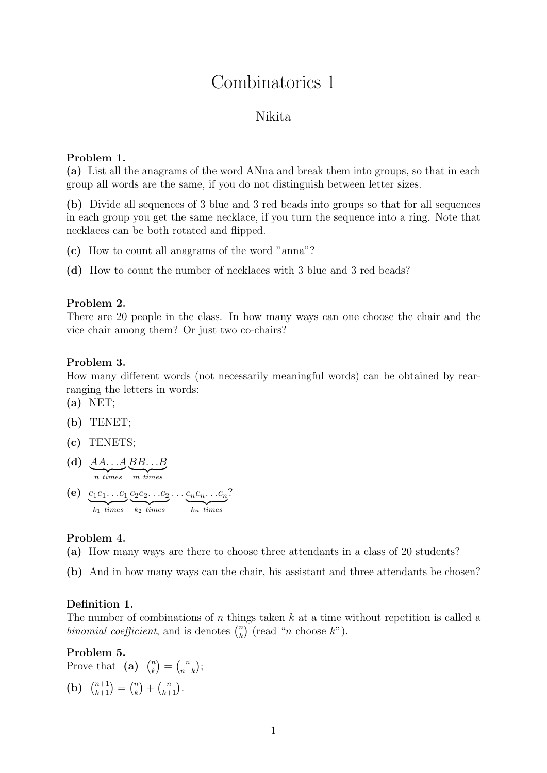# Combinatorics 1

## Nikita

## Problem 1.

(a) List all the anagrams of the word ANna and break them into groups, so that in each group all words are the same, if you do not distinguish between letter sizes.

(b) Divide all sequences of 3 blue and 3 red beads into groups so that for all sequences in each group you get the same necklace, if you turn the sequence into a ring. Note that necklaces can be both rotated and flipped.

- (c) How to count all anagrams of the word "anna"?
- (d) How to count the number of necklaces with 3 blue and 3 red beads?

#### Problem 2.

There are 20 people in the class. In how many ways can one choose the chair and the vice chair among them? Or just two co-chairs?

#### Problem 3.

How many different words (not necessarily meaningful words) can be obtained by rearranging the letters in words:

- $(a)$  NET;
- (b) TENET;
- (c) TENETS;

(d) 
$$
\underbrace{AA...A}_{n \text{ times}} \underbrace{BB...B}_{m \text{ times}}
$$

(e)  $c_1c_1...c_1$  $k_1$  times  $c_2c_2\ldots c_2$  $k_2$  times  $\ldots c_n c_n \ldots c_n$  $k_n$  times ?

#### Problem 4.

- (a) How many ways are there to choose three attendants in a class of 20 students?
- (b) And in how many ways can the chair, his assistant and three attendants be chosen?

#### Definition 1.

The number of combinations of  $n$  things taken  $k$  at a time without repetition is called a binomial coefficient, and is denotes  $\binom{n}{k}$  $\binom{n}{k}$  (read "*n* choose  $k$ ").

### Problem 5.

Prove that (a)  $\binom{n}{k}$  $\binom{n}{k} = \binom{n}{n-1}$  $\binom{n}{n-k};$ (b)  $\binom{n+1}{k+1} = \binom{n}{k}$  $\binom{n}{k+1}$ .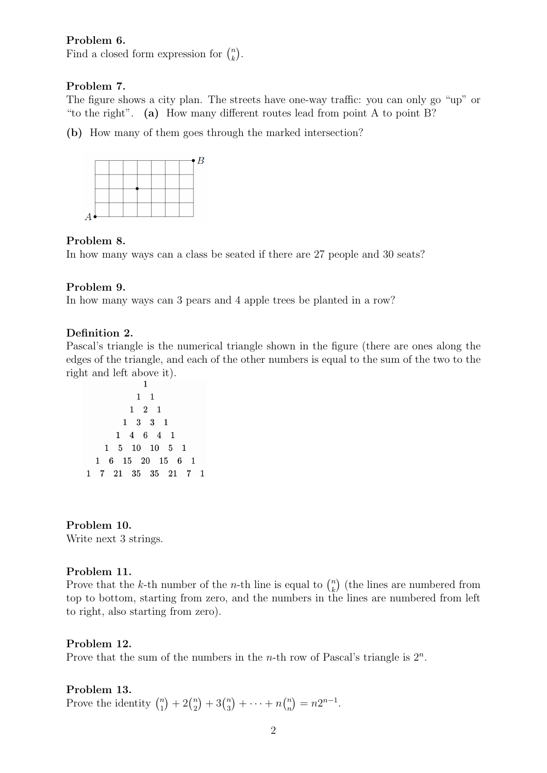## Problem 6.

Find a closed form expression for  $\binom{n}{k}$  $\binom{n}{k}$ .

## Problem 7.

The figure shows a city plan. The streets have one-way traffic: you can only go "up" or "to the right". (a) How many different routes lead from point A to point B?

(b) How many of them goes through the marked intersection?



## Problem 8.

In how many ways can a class be seated if there are 27 people and 30 seats?

## Problem 9.

In how many ways can 3 pears and 4 apple trees be planted in a row?

### Definition 2.

Pascal's triangle is the numerical triangle shown in the figure (there are ones along the edges of the triangle, and each of the other numbers is equal to the sum of the two to the right and left above it).

Problem 10.

Write next 3 strings.

### Problem 11.

Prove that the k-th number of the *n*-th line is equal to  $\binom{n}{k}$  $\binom{n}{k}$  (the lines are numbered from top to bottom, starting from zero, and the numbers in the lines are numbered from left to right, also starting from zero).

### Problem 12.

Prove that the sum of the numbers in the *n*-th row of Pascal's triangle is  $2<sup>n</sup>$ .

### Problem 13.

Prove the identity  $\binom{n}{1}$  $\binom{n}{1} + 2\binom{n}{2}$  $\binom{n}{2} + 3\binom{n}{3}$  $\binom{n}{3} + \cdots + n \binom{n}{n}$  ${n \choose n} = n2^{n-1}.$